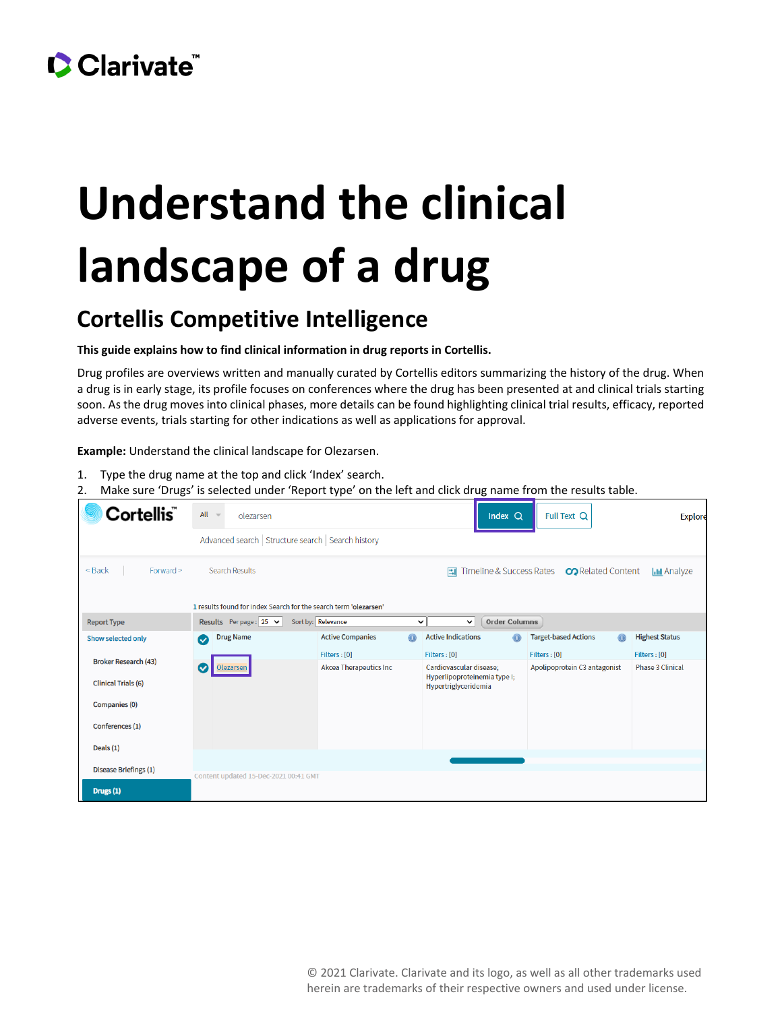## CClarivate

# **Understand the clinical landscape of a drug**

### **Cortellis Competitive Intelligence**

#### **This guide explains how to find clinical information in drug reports in Cortellis.**

Drug profiles are overviews written and manually curated by Cortellis editors summarizing the history of the drug. When a drug is in early stage, its profile focuses on conferences where the drug has been presented at and clinical trials starting soon. As the drug moves into clinical phases, more details can be found highlighting clinical trial results, efficacy, reported adverse events, trials starting for other indications as well as applications for approval.

**Example:** Understand the clinical landscape for Olezarsen.

- 1. Type the drug name at the top and click 'Index' search.
- 2. Make sure 'Drugs' is selected under 'Report type' on the left and click drug name from the results table.

| Cortellis ̃                                                      | $All =$                                             | olezarsen                             |  |                               |              |                                                      | Index Q                  | Full Text Q                  |                           |                         | <b>Explore</b>        |
|------------------------------------------------------------------|-----------------------------------------------------|---------------------------------------|--|-------------------------------|--------------|------------------------------------------------------|--------------------------|------------------------------|---------------------------|-------------------------|-----------------------|
|                                                                  | Advanced search   Structure search   Search history |                                       |  |                               |              |                                                      |                          |                              |                           |                         |                       |
| $<$ Back<br>Forward >                                            |                                                     | <b>Search Results</b>                 |  |                               |              | 国                                                    | Timeline & Success Rates |                              | <b>CO</b> Related Content |                         | <b>III</b> Analyze    |
| 1 results found for index Search for the search term 'olezarsen' |                                                     |                                       |  |                               |              |                                                      |                          |                              |                           |                         |                       |
| <b>Report Type</b>                                               |                                                     | <b>Results</b> Perpage: 25 $\sim$     |  | Sort by: Relevance            | $\checkmark$ | $\checkmark$                                         | <b>Order Columns</b>     |                              |                           |                         |                       |
| Show selected only                                               | $\bullet$                                           | <b>Drug Name</b>                      |  | <b>Active Companies</b>       | ⋒            | <b>Active Indications</b>                            |                          | <b>Target-based Actions</b>  |                           | ⋒                       | <b>Highest Status</b> |
|                                                                  |                                                     |                                       |  | Filters : [0]                 |              | Filters : [0]                                        |                          | Filters : [0]                |                           |                         | Filters : [0]         |
| <b>Broker Research (43)</b>                                      | <b>Olezarsen</b><br>$\checkmark$                    |                                       |  | <b>Akcea Therapeutics Inc</b> |              | Cardiovascular disease;                              |                          | Apolipoprotein C3 antagonist |                           | <b>Phase 3 Clinical</b> |                       |
| <b>Clinical Trials (6)</b>                                       |                                                     |                                       |  |                               |              | Hyperlipoproteinemia type I;<br>Hypertriglyceridemia |                          |                              |                           |                         |                       |
| Companies (0)                                                    |                                                     |                                       |  |                               |              |                                                      |                          |                              |                           |                         |                       |
| Conferences (1)                                                  |                                                     |                                       |  |                               |              |                                                      |                          |                              |                           |                         |                       |
| Deals (1)                                                        |                                                     |                                       |  |                               |              |                                                      |                          |                              |                           |                         |                       |
|                                                                  |                                                     |                                       |  |                               |              |                                                      |                          |                              |                           |                         |                       |
| Disease Briefings (1)                                            |                                                     | Content updated 15-Dec-2021 00:41 GMT |  |                               |              |                                                      |                          |                              |                           |                         |                       |
| Drugs (1)                                                        |                                                     |                                       |  |                               |              |                                                      |                          |                              |                           |                         |                       |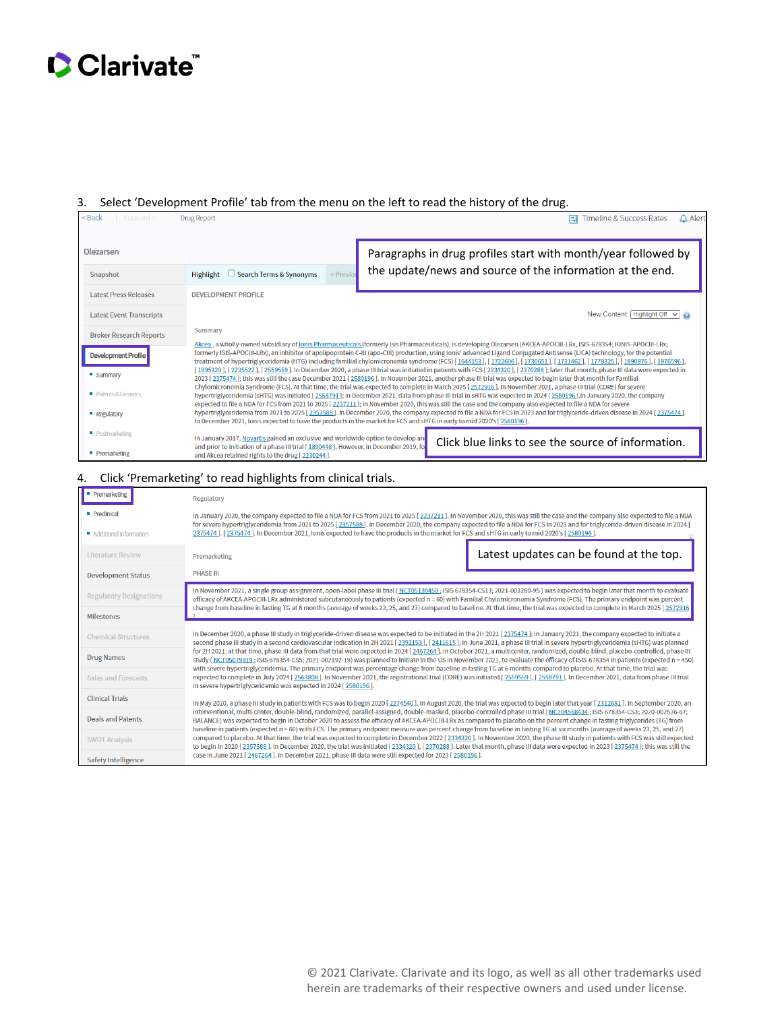## Clarivate

#### 3. Select 'Development Profile' tab from the menu on the left to read the history of the drug.

| $<$ Back<br>Forward $>$         | <b>Drug Report</b>                                                                                                                        | $\triangle$ Alert<br>Timeline & Success Rates<br>$\mathbb{E}$                                                                                                                                                                                                                                                                                                                                                                                                                                                                      |  |  |  |  |
|---------------------------------|-------------------------------------------------------------------------------------------------------------------------------------------|------------------------------------------------------------------------------------------------------------------------------------------------------------------------------------------------------------------------------------------------------------------------------------------------------------------------------------------------------------------------------------------------------------------------------------------------------------------------------------------------------------------------------------|--|--|--|--|
| Olezarsen                       |                                                                                                                                           | Paragraphs in drug profiles start with month/year followed by                                                                                                                                                                                                                                                                                                                                                                                                                                                                      |  |  |  |  |
| Snapshot                        | Search Terms & Synonyms<br>$<$ Previo<br>Highlight<br>└                                                                                   | the update/news and source of the information at the end.                                                                                                                                                                                                                                                                                                                                                                                                                                                                          |  |  |  |  |
| <b>Latest Press Releases</b>    | <b>DEVELOPMENT PROFILE</b>                                                                                                                |                                                                                                                                                                                                                                                                                                                                                                                                                                                                                                                                    |  |  |  |  |
| <b>Latest Event Transcripts</b> |                                                                                                                                           | New Content: Highlight Off $\vee$ O                                                                                                                                                                                                                                                                                                                                                                                                                                                                                                |  |  |  |  |
| <b>Broker Research Reports</b>  | Summary                                                                                                                                   |                                                                                                                                                                                                                                                                                                                                                                                                                                                                                                                                    |  |  |  |  |
| <b>Development Profile</b>      |                                                                                                                                           | Akcea, a wholly-owned subsidiary of Ionis Pharmaceuticals (formerly Isis Pharmaceuticals), is developing Olezarsen (AKCEA-APOCIII-LRx, ISIS-678354; IONIS-APOCIII-LRx;<br>formerly ISIS-APOCIII-LRx), an inhibitor of apolipoprotein C-III (apo-CIII) production, using Ionis' advanced Ligand Conjugated Antisense (LICA) technology, for the potential<br>treatment of hypertriglyceridemia (HTG) including familial chylomicronemia syndrome (FCS) [1644153], [1722606], [1730651], [1731462], [1778325], [1890876], [1976596], |  |  |  |  |
| <b>Summary</b>                  |                                                                                                                                           | [1995320], [2235522], [2559559]. In December 2020, a phase III trial was initiated in patients with FCS [2334320], [2370288]; later that month, phase III data were expected in<br>2023 [2375474]; this was still the case December 2021 [2580196]. In November 2021, another phase III trial was expected to begin later that month for Familial<br>Chylomicronemia Syndrome (FCS). At that time, the trial was expected to complete in March 2025 [2572916]. In November 2021, a phase III trial (CORE) for severe               |  |  |  |  |
| Patents & Generics              |                                                                                                                                           | hypertriglyceridemia (sHTG) was initiated [2558791]; in December 2021, data from phase III trial in sHTG was expected in 2024 [2580196]. In January 2020, the company<br>expected to file a NDA for FCS from 2021 to 2025 [2237211]; in November 2020, this was still the case and the company also expected to file a NDA for severe                                                                                                                                                                                              |  |  |  |  |
| <b>Regulatory</b>               |                                                                                                                                           | hypertriglyceridemia from 2021 to 2025 [2357588]. In December 2020, the company expected to file a NDA for FCS in 2023 and for triglyceride-driven disease in 2024 [2375474].<br>In December 2021, Ionis expected to have the products in the market for FCS and sHTG in early to mid 2020's [2580196].                                                                                                                                                                                                                            |  |  |  |  |
| • Postmarketing                 | In January 2017, Novartis gained an exclusive and worldwide option to develop and                                                         | Click blue links to see the source of information.                                                                                                                                                                                                                                                                                                                                                                                                                                                                                 |  |  |  |  |
| <b>Premarketing</b>             | and prior to initiation of a phase III trial [1890448]. However, in December 2019, fo<br>and Akcea retained rights to the drug [2230244]. |                                                                                                                                                                                                                                                                                                                                                                                                                                                                                                                                    |  |  |  |  |

#### 4. Click 'Premarketing' to read highlights from clinical trials.

| Premarketing                                 | Regulatory                                                                                                                                                                                                                                                                                                                                                                                                                                                                                                                                     |                                         |
|----------------------------------------------|------------------------------------------------------------------------------------------------------------------------------------------------------------------------------------------------------------------------------------------------------------------------------------------------------------------------------------------------------------------------------------------------------------------------------------------------------------------------------------------------------------------------------------------------|-----------------------------------------|
| <b>Preclinical</b><br>Additional Information | In January 2020, the company expected to file a NDA for FCS from 2021 to 2025 [2237211]. In November 2020, this was still the case and the company also expected to file a NDA<br>for severe hypertriglyceridemia from 2021 to 2025 [2357588]. In December 2020, the company expected to file a NDA for FCS in 2023 and for triglyceride-driven disease in 2024 [<br>2375474 ]. [2375474]. In December 2021, Ionis expected to have the products in the market for FCS and sHTG in early to mid 2020's [2580196].                              |                                         |
| <b>Literature Review</b>                     | Premarketing                                                                                                                                                                                                                                                                                                                                                                                                                                                                                                                                   | Latest updates can be found at the top. |
| <b>Development Status</b>                    | <b>PHASE III</b>                                                                                                                                                                                                                                                                                                                                                                                                                                                                                                                               |                                         |
| <b>Regulatory Designations</b>               | In November 2021, a single group assignment, open-label phase III trial (NCT05130450; ISIS 678354-CS13; 2021-003280-95) was expected to begin later that month to evaluate<br>efficacy of AKCEA-APOCIII-LRx administered subcutaneously to patients (expected n = 60) with Familial Chylomicronemia Syndrome (FCS). The primary endpoint was percent                                                                                                                                                                                           |                                         |
| <b>Milestones</b>                            | change from baseline in fasting TG at 6 months (average of weeks 23, 25, and 27) compared to baseline. At that time, the trial was expected to complete in March 2025 [2572916]                                                                                                                                                                                                                                                                                                                                                                |                                         |
| <b>Chemical Structures</b>                   | In December 2020, a phase III study in triglyceride-driven disease was expected to be initiated in the 2H 2021 [2375474]; in January 2021, the company expected to initiate a<br>second phase III study in a second cardiovascular indication in 2H 2021 [2392153], [2411615]; in June 2021, a phase III trial in severe hypertriglyceridemia (SHTG) was planned                                                                                                                                                                               |                                         |
| <b>Drug Names</b>                            | for 2H 2021; at that time, phase III data from that trial were expected in 2024 [2467264]. In October 2021, a multicenter, randomized, double-blind, placebo-controlled, phase III<br>study (NCT05079919; ISIS 678354-CS5; 2021-002192-19) was planned to initiate in the US in November 2021, to evaluate the efficacy of ISIS-678354 in patients (expected n = 450)<br>with severe hypertriglyceridemia. The primary endpoint was percentage change from baseline in fasting TG at 6 months compared to placebo. At that time, the trial was |                                         |
| Sales and Forecasts                          | expected to complete in July 2024 [2563808]. In November 2021, the registrational trial (CORE) was initiated [2559559], [2558791]. In December 2021, data from phase III trial<br>in severe hypertriglyceridemia was expected in 2024 [2580196].                                                                                                                                                                                                                                                                                               |                                         |
| <b>Clinical Trials</b>                       | In May 2020, a phase III study in patients with FCS was to begin 2020 [2274540]. In August 2020, the trial was expected to begin later that year [2312681]. In September 2020, an                                                                                                                                                                                                                                                                                                                                                              |                                         |
| <b>Deals and Patents</b>                     | interventional, multi-center, double-blind, randomized, parallel-assigned, double-masked, placebo-controlled phase III trial (NCT04568434; ISIS 678354-CS3; 2020-002536-67;<br>BALANCE) was expected to begin in October 2020 to assess the efficacy of AKCEA-APOCIII-LRx as compared to placebo on the percent change in fasting triglycerides (TG) from<br>baseline in patients (expected n = 60) with FCS. The primary endpoint measure was percent change from baseline in fasting TG at six months (average of weeks 23, 25, and 27)      |                                         |
| <b>SWOT Analysis</b>                         | compared to placebo. At that time, the trial was expected to complete in December 2022 [2334320]. In November 2020, the phase III study in patients with FCS was still expected<br>to begin in 2020 [2357588]. In December 2020, the trial was initiated [2334320], [2370288]. Later that month, phase III data were expected in 2023 [2375474]; this was still the                                                                                                                                                                            |                                         |
| Safety Intelligence                          | case in June 2021 [2467264]. In December 2021, phase III data were still expected for 2023 [2580196].                                                                                                                                                                                                                                                                                                                                                                                                                                          |                                         |